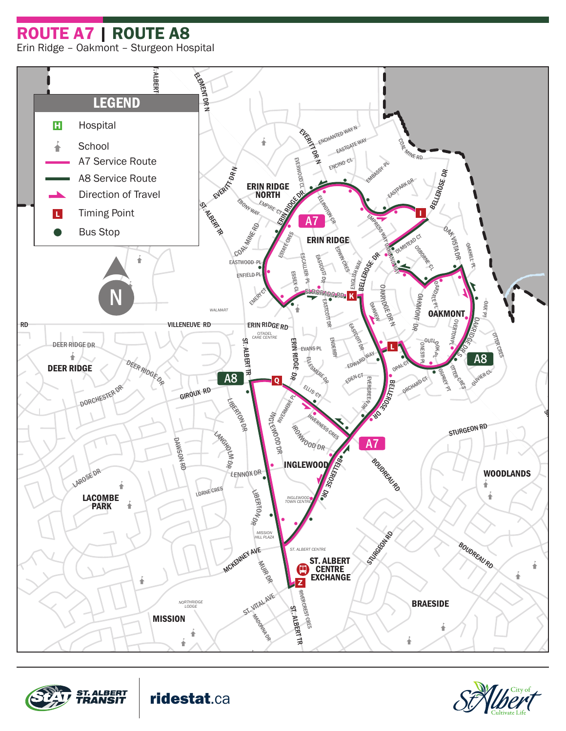ROUTE A7 | ROUTE A8







ridestat.ca